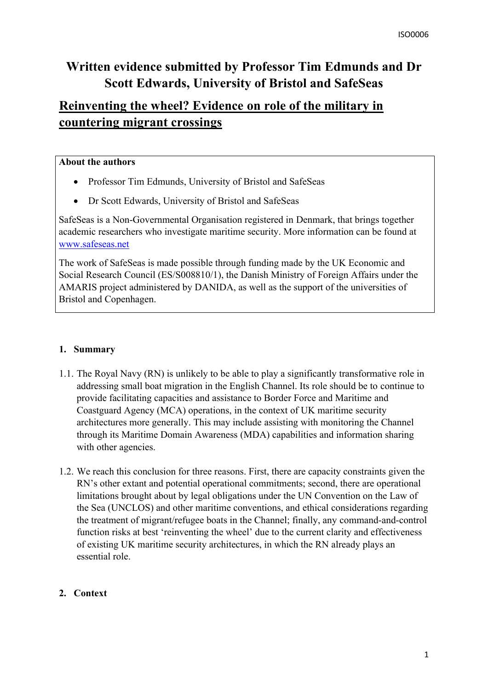# **Written evidence submitted by Professor Tim Edmunds and Dr Scott Edwards, University of Bristol and SafeSeas**

# **Reinventing the wheel? Evidence on role of the military in countering migrant crossings**

#### **About the authors**

- Professor Tim Edmunds, University of Bristol and SafeSeas
- Dr Scott Edwards, University of Bristol and SafeSeas

SafeSeas is a Non-Governmental Organisation registered in Denmark, that brings together academic researchers who investigate maritime security. More information can be found at [www.safeseas.net](http://www.safeseas.net/)

The work of SafeSeas is made possible through funding made by the UK Economic and Social Research Council (ES/S008810/1), the Danish Ministry of Foreign Affairs under the AMARIS project administered by DANIDA, as well as the support of the universities of Bristol and Copenhagen.

### **1. Summary**

- 1.1. The Royal Navy (RN) is unlikely to be able to play a significantly transformative role in addressing small boat migration in the English Channel. Its role should be to continue to provide facilitating capacities and assistance to Border Force and Maritime and Coastguard Agency (MCA) operations, in the context of UK maritime security architectures more generally. This may include assisting with monitoring the Channel through its Maritime Domain Awareness (MDA) capabilities and information sharing with other agencies.
- 1.2. We reach this conclusion for three reasons. First, there are capacity constraints given the RN's other extant and potential operational commitments; second, there are operational limitations brought about by legal obligations under the UN Convention on the Law of the Sea (UNCLOS) and other maritime conventions, and ethical considerations regarding the treatment of migrant/refugee boats in the Channel; finally, any command-and-control function risks at best 'reinventing the wheel' due to the current clarity and effectiveness of existing UK maritime security architectures, in which the RN already plays an essential role.

### **2. Context**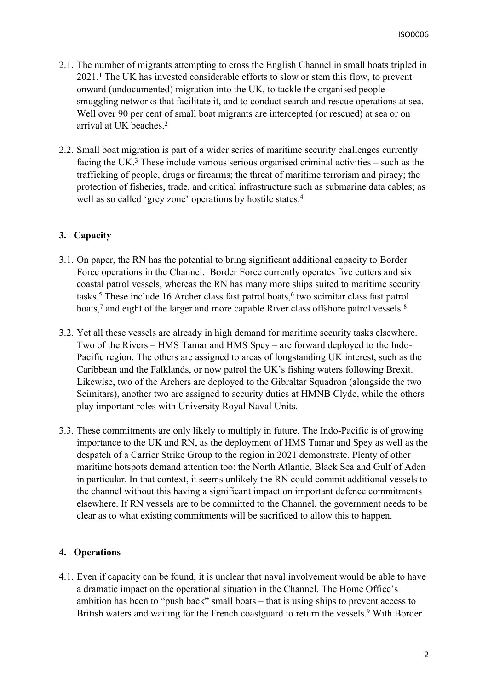- 2.1. The number of migrants attempting to cross the English Channel in small boats tripled in 2021.<sup>1</sup> The UK has invested considerable efforts to slow or stem this flow, to prevent onward (undocumented) migration into the UK, to tackle the organised people smuggling networks that facilitate it, and to conduct search and rescue operations at sea. Well over 90 per cent of small boat migrants are intercepted (or rescued) at sea or on arrival at UK beaches.<sup>2</sup>
- 2.2. Small boat migration is part of a wider series of maritime security challenges currently facing the UK.<sup>3</sup> These include various serious organised criminal activities – such as the trafficking of people, drugs or firearms; the threat of maritime terrorism and piracy; the protection of fisheries, trade, and critical infrastructure such as submarine data cables; as well as so called 'grey zone' operations by hostile states.<sup>4</sup>

#### **3. Capacity**

- 3.1. On paper, the RN has the potential to bring significant additional capacity to Border Force operations in the Channel. Border Force currently operates five cutters and six coastal patrol vessels, whereas the RN has many more ships suited to maritime security tasks.<sup>5</sup> These include 16 Archer class fast patrol boats,<sup>6</sup> two scimitar class fast patrol boats,<sup>7</sup> and eight of the larger and more capable River class offshore patrol vessels.<sup>8</sup>
- 3.2. Yet all these vessels are already in high demand for maritime security tasks elsewhere. Two of the Rivers – HMS Tamar and HMS Spey – are forward deployed to the Indo-Pacific region. The others are assigned to areas of longstanding UK interest, such as the Caribbean and the Falklands, or now patrol the UK's fishing waters following Brexit. Likewise, two of the Archers are deployed to the Gibraltar Squadron (alongside the two Scimitars), another two are assigned to security duties at HMNB Clyde, while the others play important roles with University Royal Naval Units.
- 3.3. These commitments are only likely to multiply in future. The Indo-Pacific is of growing importance to the UK and RN, as the deployment of HMS Tamar and Spey as well as the despatch of a Carrier Strike Group to the region in 2021 demonstrate. Plenty of other maritime hotspots demand attention too: the North Atlantic, Black Sea and Gulf of Aden in particular. In that context, it seems unlikely the RN could commit additional vessels to the channel without this having a significant impact on important defence commitments elsewhere. If RN vessels are to be committed to the Channel, the government needs to be clear as to what existing commitments will be sacrificed to allow this to happen.

#### **4. Operations**

4.1. Even if capacity can be found, it is unclear that naval involvement would be able to have a dramatic impact on the operational situation in the Channel. The Home Office's ambition has been to "push back" small boats – that is using ships to prevent access to British waters and waiting for the French coastguard to return the vessels.<sup>9</sup> With Border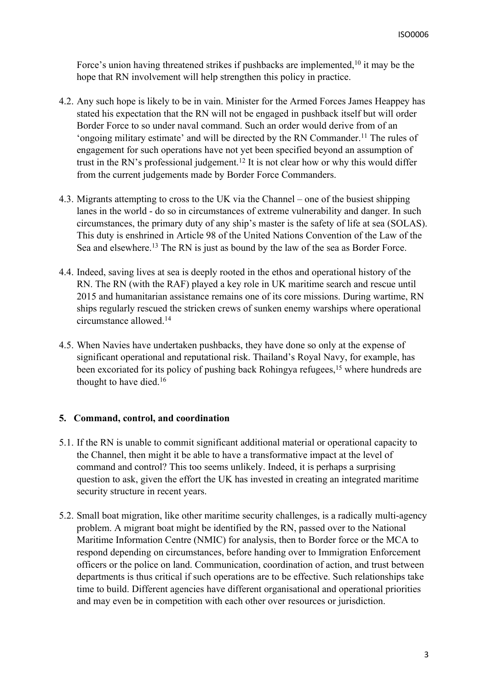Force's union having threatened strikes if pushbacks are implemented,<sup>10</sup> it may be the hope that RN involvement will help strengthen this policy in practice.

- 4.2. Any such hope is likely to be in vain. Minister for the Armed Forces James Heappey has stated his expectation that the RN will not be engaged in pushback itself but will order Border Force to so under naval command. Such an order would derive from of an 'ongoing military estimate' and will be directed by the RN Commander.<sup>11</sup> The rules of engagement for such operations have not yet been specified beyond an assumption of trust in the RN's professional judgement.<sup>12</sup> It is not clear how or why this would differ from the current judgements made by Border Force Commanders.
- 4.3. Migrants attempting to cross to the UK via the Channel one of the busiest shipping lanes in the world - do so in circumstances of extreme vulnerability and danger. In such circumstances, the primary duty of any ship's master is the safety of life at sea (SOLAS). This duty is enshrined in Article 98 of the United Nations Convention of the Law of the Sea and elsewhere.<sup>13</sup> The RN is just as bound by the law of the sea as Border Force.
- 4.4. Indeed, saving lives at sea is deeply rooted in the ethos and operational history of the RN. The RN (with the RAF) played a key role in UK maritime search and rescue until 2015 and humanitarian assistance remains one of its core missions. During wartime, RN ships regularly rescued the stricken crews of sunken enemy warships where operational circumstance allowed.<sup>14</sup>
- 4.5. When Navies have undertaken pushbacks, they have done so only at the expense of significant operational and reputational risk. Thailand's Royal Navy, for example, has been excoriated for its policy of pushing back Rohingya refugees,<sup>15</sup> where hundreds are thought to have died.<sup>16</sup>

#### **5. Command, control, and coordination**

- 5.1. If the RN is unable to commit significant additional material or operational capacity to the Channel, then might it be able to have a transformative impact at the level of command and control? This too seems unlikely. Indeed, it is perhaps a surprising question to ask, given the effort the UK has invested in creating an integrated maritime security structure in recent years.
- 5.2. Small boat migration, like other maritime security challenges, is a radically multi-agency problem. A migrant boat might be identified by the RN, passed over to the National Maritime Information Centre (NMIC) for analysis, then to Border force or the MCA to respond depending on circumstances, before handing over to Immigration Enforcement officers or the police on land. Communication, coordination of action, and trust between departments is thus critical if such operations are to be effective. Such relationships take time to build. Different agencies have different organisational and operational priorities and may even be in competition with each other over resources or jurisdiction.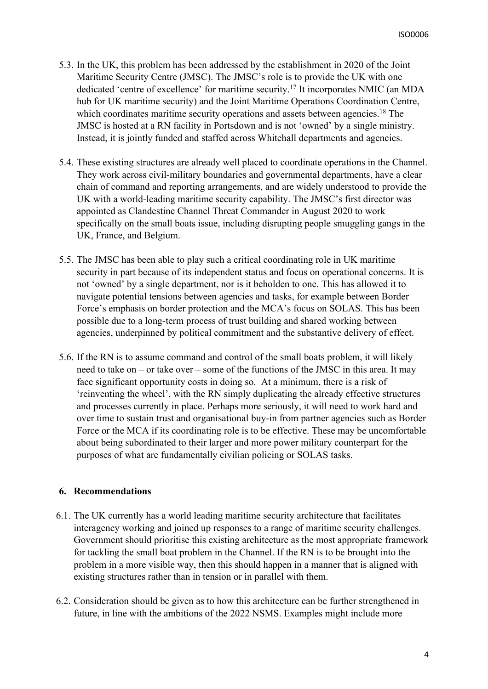- 5.3. In the UK, this problem has been addressed by the establishment in 2020 of the Joint Maritime Security Centre (JMSC). The JMSC's role is to provide the UK with one dedicated 'centre of excellence' for maritime security.<sup>17</sup> It incorporates NMIC (an MDA hub for UK maritime security) and the Joint Maritime Operations Coordination Centre, which coordinates maritime security operations and assets between agencies.<sup>18</sup> The JMSC is hosted at a RN facility in Portsdown and is not 'owned' by a single ministry. Instead, it is jointly funded and staffed across Whitehall departments and agencies.
- 5.4. These existing structures are already well placed to coordinate operations in the Channel. They work across civil-military boundaries and governmental departments, have a clear chain of command and reporting arrangements, and are widely understood to provide the UK with a world-leading maritime security capability. The JMSC's first director was appointed as Clandestine Channel Threat Commander in August 2020 to work specifically on the small boats issue, including disrupting people smuggling gangs in the UK, France, and Belgium.
- 5.5. The JMSC has been able to play such a critical coordinating role in UK maritime security in part because of its independent status and focus on operational concerns. It is not 'owned' by a single department, nor is it beholden to one. This has allowed it to navigate potential tensions between agencies and tasks, for example between Border Force's emphasis on border protection and the MCA's focus on SOLAS. This has been possible due to a long-term process of trust building and shared working between agencies, underpinned by political commitment and the substantive delivery of effect.
- 5.6. If the RN is to assume command and control of the small boats problem, it will likely need to take on – or take over – some of the functions of the JMSC in this area. It may face significant opportunity costs in doing so. At a minimum, there is a risk of 'reinventing the wheel', with the RN simply duplicating the already effective structures and processes currently in place. Perhaps more seriously, it will need to work hard and over time to sustain trust and organisational buy-in from partner agencies such as Border Force or the MCA if its coordinating role is to be effective. These may be uncomfortable about being subordinated to their larger and more power military counterpart for the purposes of what are fundamentally civilian policing or SOLAS tasks.

#### **6. Recommendations**

- 6.1. The UK currently has a world leading maritime security architecture that facilitates interagency working and joined up responses to a range of maritime security challenges. Government should prioritise this existing architecture as the most appropriate framework for tackling the small boat problem in the Channel. If the RN is to be brought into the problem in a more visible way, then this should happen in a manner that is aligned with existing structures rather than in tension or in parallel with them.
- 6.2. Consideration should be given as to how this architecture can be further strengthened in future, in line with the ambitions of the 2022 NSMS. Examples might include more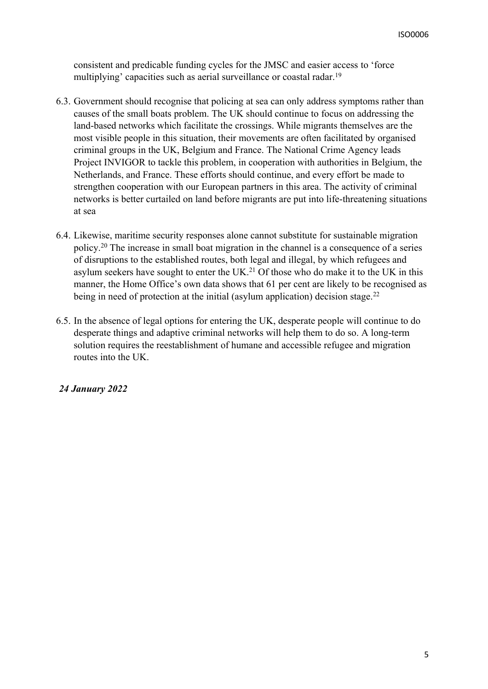consistent and predicable funding cycles for the JMSC and easier access to 'force multiplying' capacities such as aerial surveillance or coastal radar.<sup>19</sup>

- 6.3. Government should recognise that policing at sea can only address symptoms rather than causes of the small boats problem. The UK should continue to focus on addressing the land-based networks which facilitate the crossings. While migrants themselves are the most visible people in this situation, their movements are often facilitated by organised criminal groups in the UK, Belgium and France. The National Crime Agency leads Project INVIGOR to tackle this problem, in cooperation with authorities in Belgium, the Netherlands, and France. These efforts should continue, and every effort be made to strengthen cooperation with our European partners in this area. The activity of criminal networks is better curtailed on land before migrants are put into life-threatening situations at sea
- 6.4. Likewise, maritime security responses alone cannot substitute for sustainable migration policy.<sup>20</sup> The increase in small boat migration in the channel is a consequence of a series of disruptions to the established routes, both legal and illegal, by which refugees and asylum seekers have sought to enter the UK.<sup>21</sup> Of those who do make it to the UK in this manner, the Home Office's own data shows that 61 per cent are likely to be recognised as being in need of protection at the initial (asylum application) decision stage.<sup>22</sup>
- 6.5. In the absence of legal options for entering the UK, desperate people will continue to do desperate things and adaptive criminal networks will help them to do so. A long-term solution requires the reestablishment of humane and accessible refugee and migration routes into the UK.

#### *24 January 2022*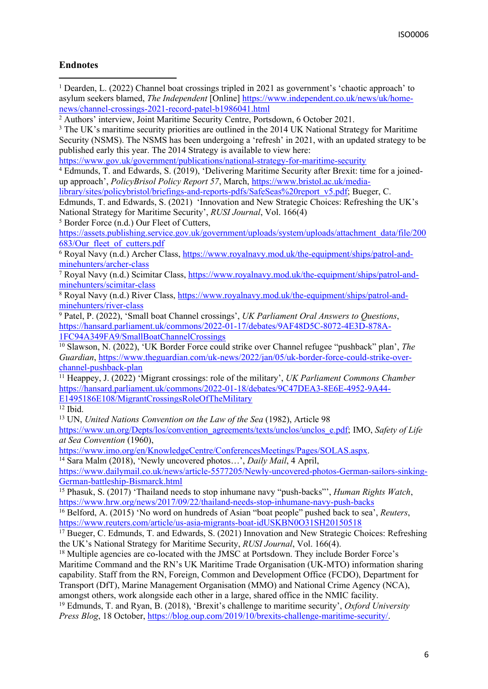#### **Endnotes**

<sup>1</sup> Dearden, L. (2022) Channel boat crossings tripled in 2021 as government's 'chaotic approach' to asylum seekers blamed, *The Independent* [Online] [https://www.independent.co.uk/news/uk/home](https://www.independent.co.uk/news/uk/home-news/channel-crossings-2021-record-patel-b1986041.html)[news/channel-crossings-2021-record-patel-b1986041.html](https://www.independent.co.uk/news/uk/home-news/channel-crossings-2021-record-patel-b1986041.html)

<sup>2</sup> Authors' interview, Joint Maritime Security Centre, Portsdown, 6 October 2021.

<sup>3</sup> The UK's maritime security priorities are outlined in the 2014 UK National Strategy for Maritime Security (NSMS). The NSMS has been undergoing a 'refresh' in 2021, with an updated strategy to be published early this year. The 2014 Strategy is available to view here:

<https://www.gov.uk/government/publications/national-strategy-for-maritime-security>

<sup>4</sup> Edmunds, T. and Edwards, S. (2019), 'Delivering Maritime Security after Brexit: time for a joinedup approach', *PolicyBrisol Policy Report 57*, March, [https://www.bristol.ac.uk/media-](https://www.bristol.ac.uk/media-library/sites/policybristol/briefings-and-reports-pdfs/SafeSeas%20report_v5.pdf)

[library/sites/policybristol/briefings-and-reports-pdfs/SafeSeas%20report\\_v5.pdf;](https://www.bristol.ac.uk/media-library/sites/policybristol/briefings-and-reports-pdfs/SafeSeas%20report_v5.pdf) Bueger, C.

Edmunds, T. and Edwards, S. (2021) 'Innovation and New Strategic Choices: Refreshing the UK's National Strategy for Maritime Security', *RUSI Journal*, Vol. 166(4)

<sup>5</sup> Border Force (n.d.) Our Fleet of Cutters,

[https://assets.publishing.service.gov.uk/government/uploads/system/uploads/attachment\\_data/file/200](https://assets.publishing.service.gov.uk/government/uploads/system/uploads/attachment_data/file/200683/Our_fleet_of_cutters.pdf) [683/Our\\_fleet\\_of\\_cutters.pdf](https://assets.publishing.service.gov.uk/government/uploads/system/uploads/attachment_data/file/200683/Our_fleet_of_cutters.pdf)

<sup>6</sup> Royal Navy (n.d.) Archer Class, [https://www.royalnavy.mod.uk/the-equipment/ships/patrol-and](https://www.royalnavy.mod.uk/the-equipment/ships/patrol-and-minehunters/archer-class)[minehunters/archer-class](https://www.royalnavy.mod.uk/the-equipment/ships/patrol-and-minehunters/archer-class) 

<sup>7</sup> Royal Navy (n.d.) Scimitar Class, [https://www.royalnavy.mod.uk/the-equipment/ships/patrol-and](https://www.royalnavy.mod.uk/the-equipment/ships/patrol-and-minehunters/scimitar-class)[minehunters/scimitar-class](https://www.royalnavy.mod.uk/the-equipment/ships/patrol-and-minehunters/scimitar-class)

<sup>8</sup> Royal Navy (n.d.) River Class, [https://www.royalnavy.mod.uk/the-equipment/ships/patrol-and](https://www.royalnavy.mod.uk/the-equipment/ships/patrol-and-minehunters/river-class)[minehunters/river-class](https://www.royalnavy.mod.uk/the-equipment/ships/patrol-and-minehunters/river-class)

<sup>9</sup> Patel, P. (2022), 'Small boat Channel crossings', *UK Parliament Oral Answers to Questions*, [https://hansard.parliament.uk/commons/2022-01-17/debates/9AF48D5C-8072-4E3D-878A-](https://hansard.parliament.uk/commons/2022-01-17/debates/9AF48D5C-8072-4E3D-878A-1FC94A349FA9/SmallBoatChannelCrossings)[1FC94A349FA9/SmallBoatChannelCrossings](https://hansard.parliament.uk/commons/2022-01-17/debates/9AF48D5C-8072-4E3D-878A-1FC94A349FA9/SmallBoatChannelCrossings)

<sup>10</sup> Slawson, N. (2022), 'UK Border Force could strike over Channel refugee "pushback" plan', *The Guardian*, [https://www.theguardian.com/uk-news/2022/jan/05/uk-border-force-could-strike-over](https://www.theguardian.com/uk-news/2022/jan/05/uk-border-force-could-strike-over-channel-pushback-plan)[channel-pushback-plan](https://www.theguardian.com/uk-news/2022/jan/05/uk-border-force-could-strike-over-channel-pushback-plan)

<sup>11</sup> Heappey, J. (2022) 'Migrant crossings: role of the military', *UK Parliament Commons Chamber* [https://hansard.parliament.uk/commons/2022-01-18/debates/9C47DEA3-8E6E-4952-9A44-](https://hansard.parliament.uk/commons/2022-01-18/debates/9C47DEA3-8E6E-4952-9A44-E1495186E108/MigrantCrossingsRoleOfTheMilitary) [E1495186E108/MigrantCrossingsRoleOfTheMilitary](https://hansard.parliament.uk/commons/2022-01-18/debates/9C47DEA3-8E6E-4952-9A44-E1495186E108/MigrantCrossingsRoleOfTheMilitary)

 $12$  Ibid.

<sup>13</sup> UN, *United Nations Convention on the Law of the Sea* (1982), Article 98

[https://www.un.org/Depts/los/convention\\_agreements/texts/unclos/unclos\\_e.pdf;](https://www.un.org/Depts/los/convention_agreements/texts/unclos/unclos_e.pdf) IMO, *Safety of Life at Sea Convention* (1960),

[https://www.imo.org/en/KnowledgeCentre/ConferencesMeetings/Pages/SOLAS.aspx.](https://www.imo.org/en/KnowledgeCentre/ConferencesMeetings/Pages/SOLAS.aspx)

<sup>14</sup> Sara Malm (2018), 'Newly uncovered photos…', *Daily Mail*, 4 April,

[https://www.dailymail.co.uk/news/article-5577205/Newly-uncovered-photos-German-sailors-sinking-](https://www.dailymail.co.uk/news/article-5577205/Newly-uncovered-photos-German-sailors-sinking-German-battleship-Bismarck.html)[German-battleship-Bismarck.html](https://www.dailymail.co.uk/news/article-5577205/Newly-uncovered-photos-German-sailors-sinking-German-battleship-Bismarck.html)

<sup>15</sup> Phasuk, S. (2017) 'Thailand needs to stop inhumane navy "push-backs"', *Human Rights Watch*, <https://www.hrw.org/news/2017/09/22/thailand-needs-stop-inhumane-navy-push-backs>

<sup>16</sup> Belford, A. (2015) 'No word on hundreds of Asian "boat people" pushed back to sea', *Reuters*, <https://www.reuters.com/article/us-asia-migrants-boat-idUSKBN0O31SH20150518>

<sup>17</sup> Bueger, C. Edmunds, T. and Edwards, S. (2021) Innovation and New Strategic Choices: Refreshing the UK's National Strategy for Maritime Security, *RUSI Journal*, Vol. 166(4).

<sup>18</sup> Multiple agencies are co-located with the JMSC at Portsdown. They include Border Force's Maritime Command and the RN's UK Maritime Trade Organisation (UK-MTO) information sharing capability. Staff from the RN, Foreign, Common and Development Office (FCDO), Department for Transport (DfT), Marine Management Organisation (MMO) and National Crime Agency (NCA), amongst others, work alongside each other in a large, shared office in the NMIC facility.

<sup>19</sup> Edmunds, T. and Ryan, B. (2018), 'Brexit's challenge to maritime security', *Oxford University Press Blog*, 18 October, [https://blog.oup.com/2019/10/brexits-challenge-maritime-security/.](https://blog.oup.com/2019/10/brexits-challenge-maritime-security/)